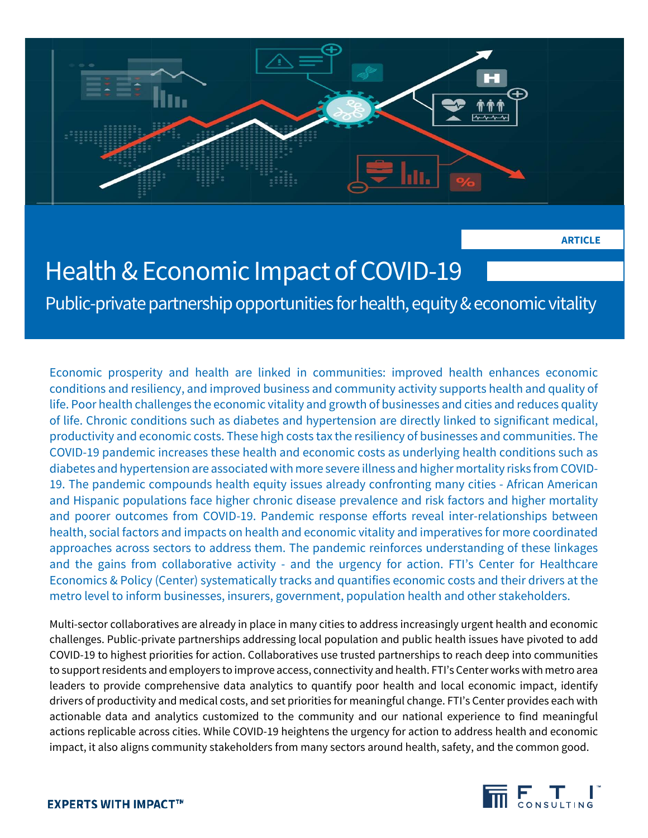

**ARTICLE**

# Health & Economic Impact of COVID-19

Public-private partnership opportunities for health, equity & economic vitality

Economic prosperity and health are linked in communities: improved health enhances economic conditions and resiliency, and improved business and community activity supports health and quality of life. Poor health challenges the economic vitality and growth of businesses and cities and reduces quality of life. Chronic conditions such as diabetes and hypertension are directly linked to significant medical, productivity and economic costs. These high costs tax the resiliency of businesses and communities. The COVID-19 pandemic increases these health and economic costs as underlying health conditions such as diabetes and hypertension are associated with more severe illness and higher mortality risks from COVID-19. The pandemic compounds health equity issues already confronting many cities - African American and Hispanic populations face higher chronic disease prevalence and risk factors and higher mortality and poorer outcomes from COVID-19. Pandemic response efforts reveal inter-relationships between health, social factors and impacts on health and economic vitality and imperatives for more coordinated approaches across sectors to address them. The pandemic reinforces understanding of these linkages and the gains from collaborative activity - and the urgency for action. FTI's Center for Healthcare Economics & Policy (Center) systematically tracks and quantifies economic costs and their drivers at the metro level to inform businesses, insurers, government, population health and other stakeholders.

Multi-sector collaboratives are already in place in many cities to address increasingly urgent health and economic challenges. Public-private partnerships addressing local population and public health issues have pivoted to add COVID-19 to highest priorities for action. Collaboratives use trusted partnerships to reach deep into communities to support residents and employers to improve access, connectivity and health. FTI's Center works with metro area leaders to provide comprehensive data analytics to quantify poor health and local economic impact, identify drivers of productivity and medical costs, and set priorities for meaningful change. FTI's Center provides each with actionable data and analytics customized to the community and our national experience to find meaningful actions replicable across cities. While COVID-19 heightens the urgency for action to address health and economic impact, it also aligns community stakeholders from many sectors around health, safety, and the common good.

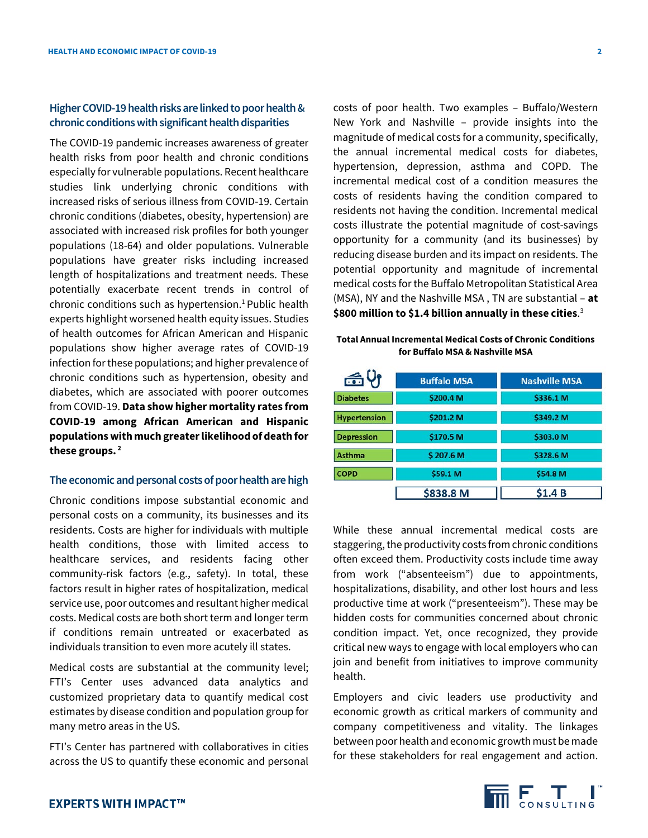# **Higher COVID-19 health risks are linked to poor health & chronic conditions with significant health disparities**

The COVID-19 pandemic increases awareness of greater health risks from poor health and chronic conditions especially for vulnerable populations. Recent healthcare studies link underlying chronic conditions with increased risks of serious illness from COVID-19. Certain chronic conditions (diabetes, obesity, hypertension) are associated with increased risk profiles for both younger populations (18-64) and older populations. Vulnerable populations have greater risks including increased length of hospitalizations and treatment needs. These potentially exacerbate recent trends in control of chronic conditions such as hypertension.<sup>1</sup> Public health experts highlight worsened health equity issues. Studies of health outcomes for African American and Hispanic populations show higher average rates of COVID-19 infection for these populations; and higher prevalence of chronic conditions such as hypertension, obesity and diabetes, which are associated with poorer outcomes from COVID-19. **Data show higher mortality rates from COVID-19 among African American and Hispanic populations with much greater likelihood of death for these groups. <sup>2</sup>**

## **The economic and personal costs of poor health are high**

Chronic conditions impose substantial economic and personal costs on a community, its businesses and its residents. Costs are higher for individuals with multiple health conditions, those with limited access to healthcare services, and residents facing other community-risk factors (e.g., safety). In total, these factors result in higher rates of hospitalization, medical service use, poor outcomes and resultant higher medical costs. Medical costs are both short term and longer term if conditions remain untreated or exacerbated as individuals transition to even more acutely ill states.

Medical costs are substantial at the community level; FTI's Center uses advanced data analytics and customized proprietary data to quantify medical cost estimates by disease condition and population group for many metro areas in the US.

FTI's Center has partnered with collaboratives in cities across the US to quantify these economic and personal costs of poor health. Two examples – Buffalo/Western New York and Nashville – provide insights into the magnitude of medical costs for a community, specifically, the annual incremental medical costs for diabetes, hypertension, depression, asthma and COPD. The incremental medical cost of a condition measures the costs of residents having the condition compared to residents not having the condition. Incremental medical costs illustrate the potential magnitude of cost-savings opportunity for a community (and its businesses) by reducing disease burden and its impact on residents. The potential opportunity and magnitude of incremental medical costs for the Buffalo Metropolitan Statistical Area (MSA), NY and the Nashville MSA , TN are substantial – **at \$800 million to \$1.4 billion annually in these cities**. 3

## **Total Annual Incremental Medical Costs of Chronic Conditions for Buffalo MSA & Nashville MSA**

| 舌り                  | <b>Buffalo MSA</b> | <b>Nashville MSA</b> |  |
|---------------------|--------------------|----------------------|--|
| <b>Diabetes</b>     | \$200.4 M          | \$336.1 M            |  |
| <b>Hypertension</b> | \$201.2 M          | \$349.2 M            |  |
| <b>Depression</b>   | \$170.5 M          | \$303.0 M            |  |
| <b>Asthma</b>       | \$207.6 M          | \$328.6 M            |  |
| <b>COPD</b>         | \$59.1 M           | \$54.8 M             |  |
|                     | \$838.8 M          | <b>\$1.4 B</b>       |  |

While these annual incremental medical costs are staggering, the productivity costs from chronic conditions often exceed them. Productivity costs include time away from work ("absenteeism") due to appointments, hospitalizations, disability, and other lost hours and less productive time at work ("presenteeism"). These may be hidden costs for communities concerned about chronic condition impact. Yet, once recognized, they provide critical new ways to engage with local employers who can join and benefit from initiatives to improve community health.

Employers and civic leaders use productivity and economic growth as critical markers of community and company competitiveness and vitality. The linkages between poor health and economic growth must be made for these stakeholders for real engagement and action.

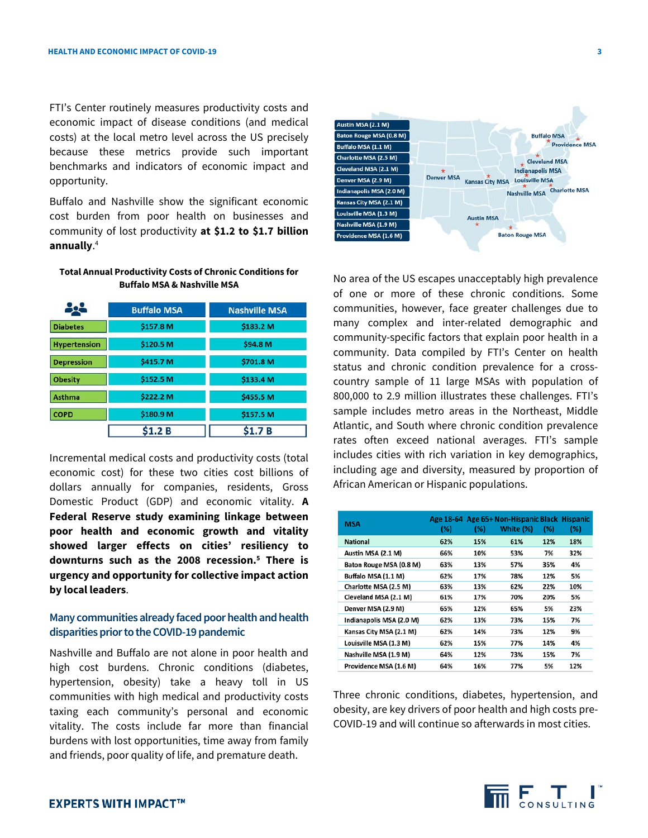FTI's Center routinely measures productivity costs and economic impact of disease conditions (and medical costs) at the local metro level across the US precisely because these metrics provide such important benchmarks and indicators of economic impact and opportunity.

Buffalo and Nashville show the significant economic cost burden from poor health on businesses and community of lost productivity **at \$1.2 to \$1.7 billion annually**. 4

#### **Total Annual Productivity Costs of Chronic Conditions for Buffalo MSA & Nashville MSA**

|                     | <b>Buffalo MSA</b> | <b>Nashville MSA</b> |  |
|---------------------|--------------------|----------------------|--|
| <b>Diabetes</b>     | \$157.8 M          | \$183.2 M            |  |
| <b>Hypertension</b> | \$120.5 M          | \$94.8 M             |  |
| <b>Depression</b>   | \$415.7 M          | \$701.8 M            |  |
| <b>Obesity</b>      | \$152.5 M          | \$133.4 M            |  |
| <b>Asthma</b>       | \$222.2 M          | \$455.5 M            |  |
| <b>COPD</b>         | \$180.9 M          | \$157.5 M            |  |
|                     | \$1.2 B            | S1.7 B               |  |

Incremental medical costs and productivity costs (total economic cost) for these two cities cost billions of dollars annually for companies, residents, Gross Domestic Product (GDP) and economic vitality. **A Federal Reserve study examining linkage between poor health and economic growth and vitality showed larger effects on cities' resiliency to downturns such as the 2008 recession. <sup>5</sup> There is urgency and opportunity for collective impact action by local leaders**.

# **Many communities already faced poor health and health disparities prior to the COVID-19 pandemic**

Nashville and Buffalo are not alone in poor health and high cost burdens. Chronic conditions (diabetes, hypertension, obesity) take a heavy toll in US communities with high medical and productivity costs taxing each community's personal and economic vitality. The costs include far more than financial burdens with lost opportunities, time away from family and friends, poor quality of life, and premature death.



No area of the US escapes unacceptably high prevalence of one or more of these chronic conditions. Some communities, however, face greater challenges due to many complex and inter-related demographic and community-specific factors that explain poor health in a community. Data compiled by FTI's Center on health status and chronic condition prevalence for a crosscountry sample of 11 large MSAs with population of 800,000 to 2.9 million illustrates these challenges. FTI's sample includes metro areas in the Northeast, Middle Atlantic, and South where chronic condition prevalence rates often exceed national averages. FTI's sample includes cities with rich variation in key demographics, including age and diversity, measured by proportion of African American or Hispanic populations.

| <b>MSA</b>               | (%) | (%) | Age 18-64 Age 65+ Non-Hispanic Black Hispanic<br>White (%) | (%) | (%) |
|--------------------------|-----|-----|------------------------------------------------------------|-----|-----|
| <b>National</b>          | 62% | 15% | 61%                                                        | 12% | 18% |
| Austin MSA (2.1 M)       | 66% | 10% | 53%                                                        | 7%  | 32% |
| Baton Rouge MSA (0.8 M)  | 63% | 13% | 57%                                                        | 35% | 4%  |
| Buffalo MSA (1.1 M)      | 62% | 17% | 78%                                                        | 12% | 5%  |
| Charlotte MSA (2.5 M)    | 63% | 13% | 62%                                                        | 22% | 10% |
| Cleveland MSA (2.1 M)    | 61% | 17% | 70%                                                        | 20% | 5%  |
| Denver MSA (2.9 M)       | 65% | 12% | 65%                                                        | 5%  | 23% |
| Indianapolis MSA (2.0 M) | 62% | 13% | 73%                                                        | 15% | 7%  |
| Kansas City MSA (2.1 M)  | 62% | 14% | 73%                                                        | 12% | 9%  |
| Louisville MSA (1.3 M)   | 62% | 15% | 77%                                                        | 14% | 4%  |
| Nashville MSA (1.9 M)    | 64% | 12% | 73%                                                        | 15% | 7%  |
| Providence MSA (1.6 M)   | 64% | 16% | 77%                                                        | 5%  | 12% |

Three chronic conditions, diabetes, hypertension, and obesity, are key drivers of poor health and high costs pre-COVID-19 and will continue so afterwards in most cities.

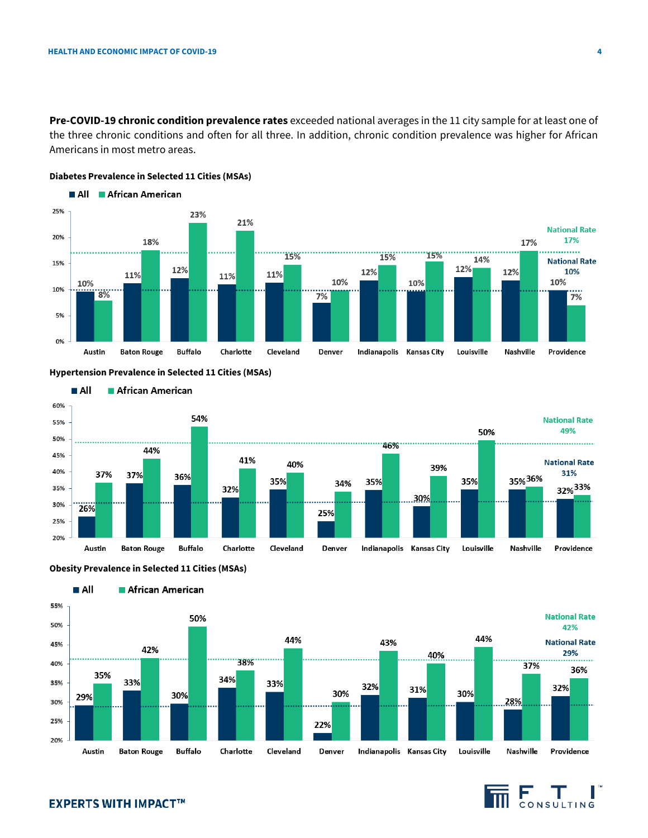**Pre-COVID-19 chronic condition prevalence rates** exceeded national averages in the 11 city sample for at least one of the three chronic conditions and often for all three. In addition, chronic condition prevalence was higher for African Americans in most metro areas.



## **Diabetes Prevalence in Selected 11 Cities (MSAs)**

## **Hypertension Prevalence in Selected 11 Cities (MSAs)**







#### African American



# **EXPERTS WITH IMPACT™**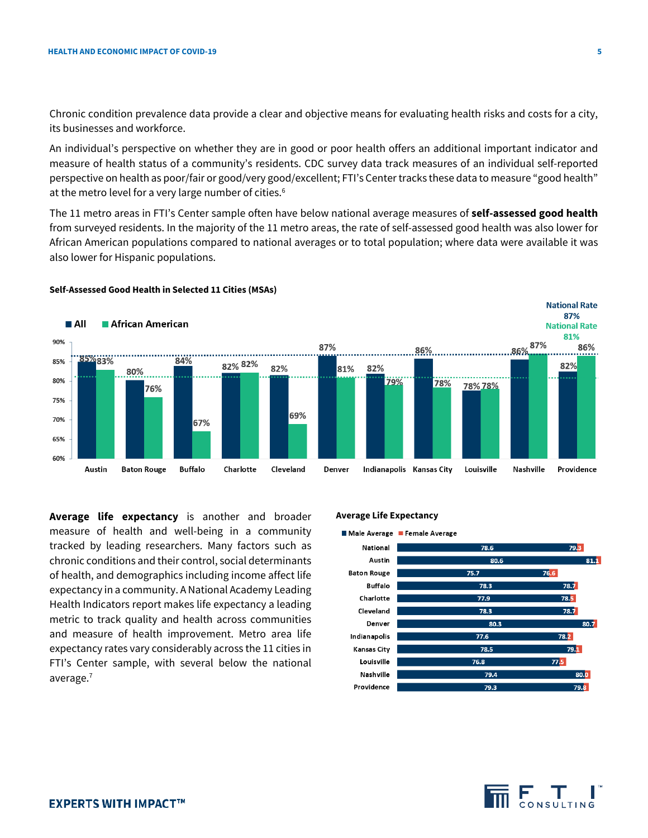Chronic condition prevalence data provide a clear and objective means for evaluating health risks and costs for a city, its businesses and workforce.

An individual's perspective on whether they are in good or poor health offers an additional important indicator and measure of health status of a community's residents. CDC survey data track measures of an individual self-reported perspective on health as poor/fair or good/very good/excellent; FTI's Center tracks these data to measure "good health" at the metro level for a very large number of cities.<sup>6</sup>

The 11 metro areas in FTI's Center sample often have below national average measures of **self-assessed good health** from surveyed residents. In the majority of the 11 metro areas, the rate of self-assessed good health was also lower for African American populations compared to national averages or to total population; where data were available it was also lower for Hispanic populations.



#### **Self-Assessed Good Health in Selected 11 Cities (MSAs)**

**Average life expectancy** is another and broader measure of health and well-being in a community tracked by leading researchers. Many factors such as chronic conditions and their control, social determinants of health, and demographics including income affect life expectancy in a community. A National Academy Leading Health Indicators report makes life expectancy a leading metric to track quality and health across communities and measure of health improvement. Metro area life expectancy rates vary considerably across the 11 cities in FTI's Center sample, with several below the national average.7

#### **Average Life Expectancy**



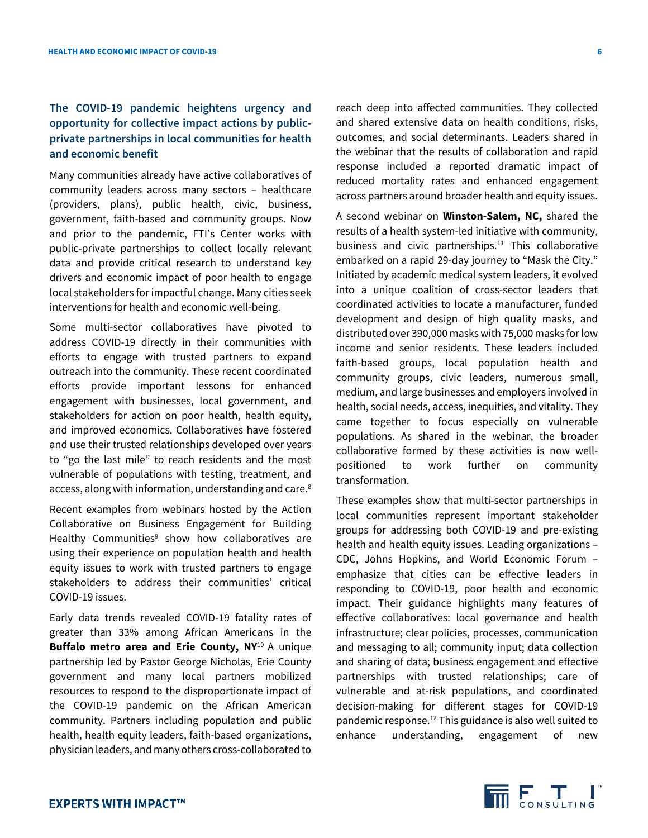# **The COVID-19 pandemic heightens urgency and opportunity for collective impact actions by publicprivate partnerships in local communities for health and economic benefit**

Many communities already have active collaboratives of community leaders across many sectors – healthcare (providers, plans), public health, civic, business, government, faith-based and community groups. Now and prior to the pandemic, FTI's Center works with public-private partnerships to collect locally relevant data and provide critical research to understand key drivers and economic impact of poor health to engage local stakeholders for impactful change. Many cities seek interventions for health and economic well-being.

Some multi-sector collaboratives have pivoted to address COVID-19 directly in their communities with efforts to engage with trusted partners to expand outreach into the community. These recent coordinated efforts provide important lessons for enhanced engagement with businesses, local government, and stakeholders for action on poor health, health equity, and improved economics. Collaboratives have fostered and use their trusted relationships developed over years to "go the last mile" to reach residents and the most vulnerable of populations with testing, treatment, and access, along with information, understanding and care. 8

Recent examples from webinars hosted by the Action Collaborative on Business Engagement for Building Healthy Communities $9$  show how collaboratives are using their experience on population health and health equity issues to work with trusted partners to engage stakeholders to address their communities' critical COVID-19 issues.

Early data trends revealed COVID-19 fatality rates of greater than 33% among African Americans in the **Buffalo metro area and Erie County, NY**<sup>10</sup> A unique partnership led by Pastor George Nicholas, Erie County government and many local partners mobilized resources to respond to the disproportionate impact of the COVID-19 pandemic on the African American community. Partners including population and public health, health equity leaders, faith-based organizations, physician leaders, and many others cross-collaborated to

reach deep into affected communities. They collected and shared extensive data on health conditions, risks, outcomes, and social determinants. Leaders shared in the webinar that the results of collaboration and rapid response included a reported dramatic impact of reduced mortality rates and enhanced engagement across partners around broader health and equity issues.

A second webinar on **Winston-Salem, NC,** shared the results of a health system-led initiative with community, business and civic partnerships.<sup>11</sup> This collaborative embarked on a rapid 29-day journey to "Mask the City." Initiated by academic medical system leaders, it evolved into a unique coalition of cross-sector leaders that coordinated activities to locate a manufacturer, funded development and design of high quality masks, and distributed over 390,000 masks with 75,000 masks for low income and senior residents. These leaders included faith-based groups, local population health and community groups, civic leaders, numerous small, medium, and large businesses and employers involved in health, social needs, access, inequities, and vitality. They came together to focus especially on vulnerable populations. As shared in the webinar, the broader collaborative formed by these activities is now wellpositioned to work further on community transformation.

These examples show that multi-sector partnerships in local communities represent important stakeholder groups for addressing both COVID-19 and pre-existing health and health equity issues. Leading organizations – CDC, Johns Hopkins, and World Economic Forum – emphasize that cities can be effective leaders in responding to COVID-19, poor health and economic impact. Their guidance highlights many features of effective collaboratives: local governance and health infrastructure; clear policies, processes, communication and messaging to all; community input; data collection and sharing of data; business engagement and effective partnerships with trusted relationships; care of vulnerable and at-risk populations, and coordinated decision-making for different stages for COVID-19 pandemic response.12 This guidance is also well suited to enhance understanding, engagement of new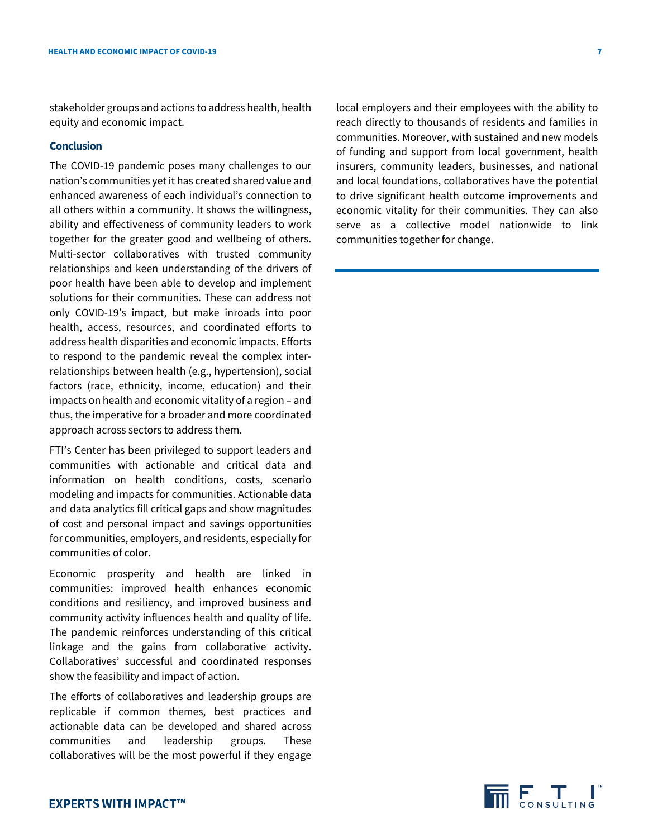stakeholder groups and actions to address health, health equity and economic impact.

# **Conclusion**

The COVID-19 pandemic poses many challenges to our nation's communities yet it has created shared value and enhanced awareness of each individual's connection to all others within a community. It shows the willingness, ability and effectiveness of community leaders to work together for the greater good and wellbeing of others. Multi-sector collaboratives with trusted community relationships and keen understanding of the drivers of poor health have been able to develop and implement solutions for their communities. These can address not only COVID-19's impact, but make inroads into poor health, access, resources, and coordinated efforts to address health disparities and economic impacts. Efforts to respond to the pandemic reveal the complex interrelationships between health (e.g., hypertension), social factors (race, ethnicity, income, education) and their impacts on health and economic vitality of a region – and thus, the imperative for a broader and more coordinated approach across sectors to address them.

FTI's Center has been privileged to support leaders and communities with actionable and critical data and information on health conditions, costs, scenario modeling and impacts for communities. Actionable data and data analytics fill critical gaps and show magnitudes of cost and personal impact and savings opportunities for communities, employers, and residents, especially for communities of color.

Economic prosperity and health are linked in communities: improved health enhances economic conditions and resiliency, and improved business and community activity influences health and quality of life. The pandemic reinforces understanding of this critical linkage and the gains from collaborative activity. Collaboratives' successful and coordinated responses show the feasibility and impact of action.

The efforts of collaboratives and leadership groups are replicable if common themes, best practices and actionable data can be developed and shared across communities and leadership groups. These collaboratives will be the most powerful if they engage local employers and their employees with the ability to reach directly to thousands of residents and families in communities. Moreover, with sustained and new models of funding and support from local government, health insurers, community leaders, businesses, and national and local foundations, collaboratives have the potential to drive significant health outcome improvements and economic vitality for their communities. They can also serve as a collective model nationwide to link communities together for change.

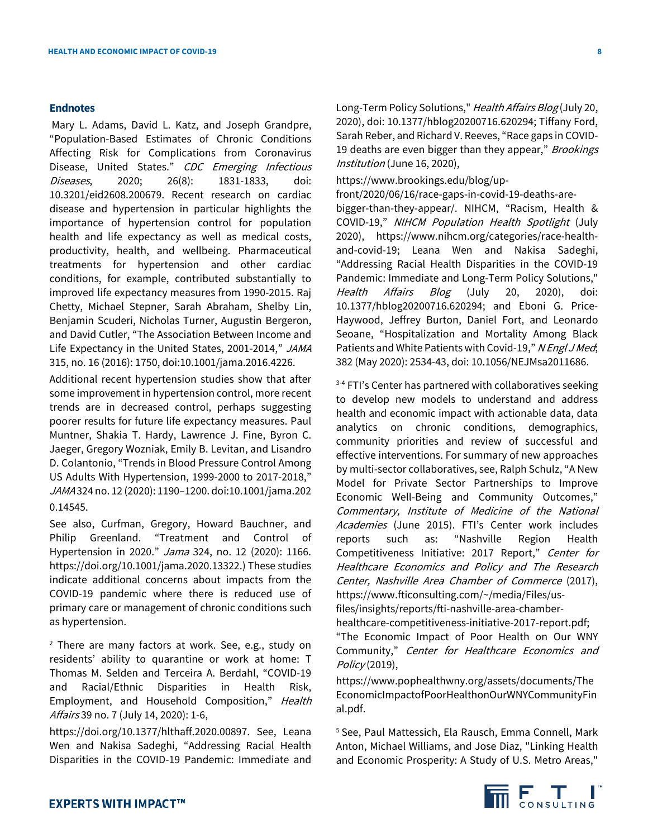#### **Endnotes**

Mary L. Adams, David L. Katz, and Joseph Grandpre, "Population-Based Estimates of Chronic Conditions Affecting Risk for Complications from Coronavirus Disease, United States." CDC Emerging Infectious Diseases, 2020; 26(8): 1831-1833, doi: 10.3201/eid2608.200679. Recent research on cardiac disease and hypertension in particular highlights the importance of hypertension control for population health and life expectancy as well as medical costs, productivity, health, and wellbeing. Pharmaceutical treatments for hypertension and other cardiac conditions, for example, contributed substantially to improved life expectancy measures from 1990-2015. Raj Chetty, Michael Stepner, Sarah Abraham, Shelby Lin, Benjamin Scuderi, Nicholas Turner, Augustin Bergeron, and David Cutler, "The Association Between Income and Life Expectancy in the United States, 2001-2014," JAMA 315, no. 16 (2016): 1750, doi:10.1001/jama.2016.4226.

Additional recent hypertension studies show that after some improvement in hypertension control, more recent trends are in decreased control, perhaps suggesting poorer results for future life expectancy measures. Paul Muntner, Shakia T. Hardy, Lawrence J. Fine, Byron C. Jaeger, Gregory Wozniak, Emily B. Levitan, and Lisandro D. Colantonio, "Trends in Blood Pressure Control Among US Adults With Hypertension, 1999-2000 to 2017-2018," JAMA 324 no. 12 (2020): 1190–1200. doi:10.1001/jama.202 0.14545.

See also, Curfman, Gregory, Howard Bauchner, and Philip Greenland. "Treatment and Control of Hypertension in 2020." Jama 324, no. 12 (2020): 1166. [https://doi.org/10.1001/jama.2020.13322.](https://doi.org/10.1001/jama.2020.13322)) These studies indicate additional concerns about impacts from the COVID-19 pandemic where there is reduced use of primary care or management of chronic conditions such as hypertension.

 $2$  There are many factors at work. See, e.g., study on residents' ability to quarantine or work at home: T Thomas M. Selden and Terceira A. Berdahl, "COVID-19 and Racial/Ethnic Disparities in Health Risk, Employment, and Household Composition," Health Affairs 39 no. 7 (July 14, 2020): 1-6,

[https://doi.org/10.1377/hlthaff.2020.00897.](https://doi.org/10.1377/hlthaff.2020.00897) See, Leana Wen and Nakisa Sadeghi, "Addressing Racial Health Disparities in the COVID-19 Pandemic: Immediate and Long-Term Policy Solutions," Health Affairs Blog (July 20, 2020), doi: 10.1377/hblog20200716.620294; Tiffany Ford, Sarah Reber, and Richard V. Reeves, "Race gaps in COVID-19 deaths are even bigger than they appear," Brookings Institution (June 16, 2020),

https://www.brookings.edu/blog/up-

front/2020/06/16/race-gaps-in-covid-19-deaths-arebigger-than-they-appear/. NIHCM, "Racism, Health & COVID-19," NIHCM Population Health Spotlight (July 2020), https://www.nihcm.org/categories/race-healthand-covid-19; Leana Wen and Nakisa Sadeghi, "Addressing Racial Health Disparities in the COVID-19 Pandemic: Immediate and Long-Term Policy Solutions," Health Affairs Blog (July 20, 2020), doi: 10.1377/hblog20200716.620294; and Eboni G. Price-Haywood, Jeffrey Burton, Daniel Fort, and Leonardo Seoane, "Hospitalization and Mortality Among Black Patients and White Patients with Covid-19," NEngl J Med; 382 (May 2020): 2534-43, doi: 10.1056/NEJMsa2011686.

<sup>3-4</sup> FTI's Center has partnered with collaboratives seeking to develop new models to understand and address health and economic impact with actionable data, data analytics on chronic conditions, demographics, community priorities and review of successful and effective interventions. For summary of new approaches by multi-sector collaboratives, see, Ralph Schulz, "A New Model for Private Sector Partnerships to Improve Economic Well-Being and Community Outcomes," Commentary, Institute of Medicine of the National Academies (June 2015). FTI's Center work includes reports such as: "Nashville Region Health Competitiveness Initiative: 2017 Report," Center for Healthcare Economics and Policy and The Research Center, Nashville Area Chamber of Commerce (2017), https://www.fticonsulting.com/~/media/Files/usfiles/insights[/reports/fti-nashville-area-chamber-](https://www.fticonsulting.com/%7E/media/Files/us-files/insights/reports/fti-nashville-area-chamber-healthcare-competitiveness-initiative-2017-report.pdf)

[healthcare-competitiveness-initiative-2017-report.pdf;](https://www.fticonsulting.com/%7E/media/Files/us-files/insights/reports/fti-nashville-area-chamber-healthcare-competitiveness-initiative-2017-report.pdf) "The Economic Impact of Poor Health on Our WNY Community," Center for Healthcare Economics and Policy (2019),

[https://www.pophealthwny.org/assets/documents/The](https://www.pophealthwny.org/assets/documents/TheEconomicImpactofPoorHealthonOurWNYCommunityFinal.pdf) [EconomicImpactofPoorHealthonOurWNYCommunityFin](https://www.pophealthwny.org/assets/documents/TheEconomicImpactofPoorHealthonOurWNYCommunityFinal.pdf) [al.pdf.](https://www.pophealthwny.org/assets/documents/TheEconomicImpactofPoorHealthonOurWNYCommunityFinal.pdf)

5 See, Paul Mattessich, Ela Rausch, Emma Connell, Mark Anton, Michael Williams, and Jose Diaz, "Linking Health and Economic Prosperity: A Study of U.S. Metro Areas,"

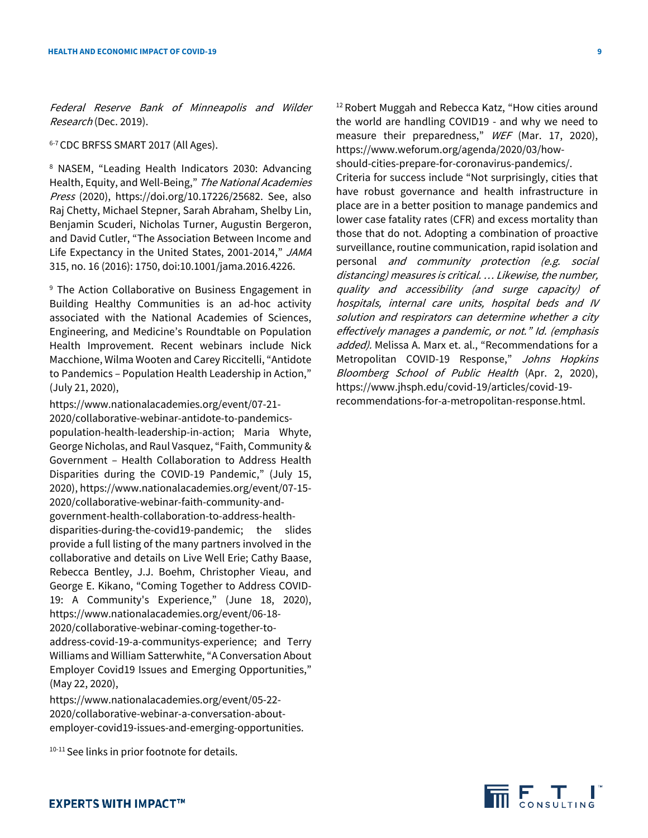Federal Reserve Bank of Minneapolis and Wilder Research (Dec. 2019).

<sup>6-7</sup> CDC BRFSS SMART 2017 (All Ages).

<sup>8</sup> NASEM, "Leading Health Indicators 2030: Advancing Health, Equity, and Well-Being," The National Academies Press (2020), [https://doi.org/10.17226/25682.](https://doi.org/10.17226/25682) See, also Raj Chetty, Michael Stepner, Sarah Abraham, Shelby Lin, Benjamin Scuderi, Nicholas Turner, Augustin Bergeron, and David Cutler, "The Association Between Income and Life Expectancy in the United States, 2001-2014," JAMA 315, no. 16 (2016): 1750, doi:10.1001/jama.2016.4226.

<sup>9</sup> The Action Collaborative on Business Engagement in Building Healthy Communities is an ad-hoc activity associated with the National Academies of Sciences, Engineering, and Medicine's Roundtable on Population Health Improvement. Recent webinars include Nick Macchione, Wilma Wooten and Carey Riccitelli, "Antidote to Pandemics – Population Health Leadership in Action," (July 21, 2020),

[https://www.nationalacademies.org/event/07-21-](https://www.nationalacademies.org/event/07-21-2020/collaborative-webinar-antidote-to-pandemics-population-health-leadership-in-action) [2020/collaborative-webinar-antidote-to-pandemics](https://www.nationalacademies.org/event/07-21-2020/collaborative-webinar-antidote-to-pandemics-population-health-leadership-in-action)[population-health-leadership-in-action;](https://www.nationalacademies.org/event/07-21-2020/collaborative-webinar-antidote-to-pandemics-population-health-leadership-in-action) Maria Whyte, George Nicholas, and Raul Vasquez, "Faith, Community & Government – Health Collaboration to Address Health Disparities during the COVID-19 Pandemic," (July 15, 2020)[, https://www.nationalacademies.org/event/07-15-](https://www.nationalacademies.org/event/07-15-2020/collaborative-webinar-faith-community-and-government-health-collaboration-to-address-health-disparities-during-the-covid19-pandemic) [2020/collaborative-webinar-faith-community-and](https://www.nationalacademies.org/event/07-15-2020/collaborative-webinar-faith-community-and-government-health-collaboration-to-address-health-disparities-during-the-covid19-pandemic)[government-health-collaboration-to-address-health](https://www.nationalacademies.org/event/07-15-2020/collaborative-webinar-faith-community-and-government-health-collaboration-to-address-health-disparities-during-the-covid19-pandemic)[disparities-during-the-covid19-pandemic;](https://www.nationalacademies.org/event/07-15-2020/collaborative-webinar-faith-community-and-government-health-collaboration-to-address-health-disparities-during-the-covid19-pandemic) the slides provide a full listing of the many partners involved in the collaborative and details on Live Well Erie; Cathy Baase, Rebecca Bentley, J.J. Boehm, Christopher Vieau, and George E. Kikano, "Coming Together to Address COVID-19: A Community's Experience," (June 18, 2020), [https://www.nationalacademies.org/event/06-18-](https://www.nationalacademies.org/event/06-18-2020/collaborative-webinar-coming-together-to-address-covid-19-a-communitys-experience) [2020/collaborative-webinar-coming-together-to](https://www.nationalacademies.org/event/06-18-2020/collaborative-webinar-coming-together-to-address-covid-19-a-communitys-experience)[address-covid-19-a-communitys-experience;](https://www.nationalacademies.org/event/06-18-2020/collaborative-webinar-coming-together-to-address-covid-19-a-communitys-experience) and Terry Williams and William Satterwhite, "A Conversation About Employer Covid19 Issues and Emerging Opportunities," (May 22, 2020),

[https://www.nationalacademies.org/event/05-22-](https://www.nationalacademies.org/event/05-22-2020/collaborative-webinar-a-conversation-about-employer-covid19-issues-and-emerging-opportunities) [2020/collaborative-webinar-a-conversation-about](https://www.nationalacademies.org/event/05-22-2020/collaborative-webinar-a-conversation-about-employer-covid19-issues-and-emerging-opportunities)[employer-covid19-issues-and-emerging-opportunities.](https://www.nationalacademies.org/event/05-22-2020/collaborative-webinar-a-conversation-about-employer-covid19-issues-and-emerging-opportunities)

<sup>10-11</sup> See links in prior footnote for details.

<sup>12</sup> Robert Muggah and Rebecca Katz, "How cities around the world are handling COVID19 - and why we need to measure their preparedness," WEF (Mar. 17, 2020), [https://www.weforum.org/agenda/2020/03/how-](https://www.weforum.org/agenda/2020/03/how-should-cities-prepare-for-coronavirus-pandemics/)

[should-cities-prepare-for-coronavirus-pandemics/.](https://www.weforum.org/agenda/2020/03/how-should-cities-prepare-for-coronavirus-pandemics/)  Criteria for success include "Not surprisingly, cities that have robust [governance](https://urldefense.proofpoint.com/v2/url?u=https-3A__www.mdpi.com_2076-2D3387_2_2_135_htm&d=DwMFaQ&c=VWART3hH1Kkv_uOe9JqhCg&r=sMDV_PgeOAdmDWFOQCGuulQz4qnuEJbej1gSClSdM5U&m=TC73fM11xBlrzCsB7mIhETitbNfgjmGpU_PnxUJx_7A&s=gEHctjhpWCD5PvUVA6N8-sx1ViqbQZiRGfg4sAwZ664&e=) and [health infrastructure](https://urldefense.proofpoint.com/v2/url?u=https-3A__www.ncbi.nlm.nih.gov_pmc_articles_PMC3805833_&d=DwMFaQ&c=VWART3hH1Kkv_uOe9JqhCg&r=sMDV_PgeOAdmDWFOQCGuulQz4qnuEJbej1gSClSdM5U&m=TC73fM11xBlrzCsB7mIhETitbNfgjmGpU_PnxUJx_7A&s=u03s9ignlUpqCZ92cc0Kln5ZkIRcrbiY8ESNOtGt6kk&e=) in place are in a better position to manage pandemics and lower case fatality rates (CFR) and excess mortality than those that do not. Adopting a combination of proactive surveillance, routine communication, rapid isolation and personal and community protection (e.g. social distancing) measures is critical. … Likewise, the number, quality and accessibility (and surge capacity) of hospitals, internal care units, hospital beds and IV solution and respirators can determine whether a city effectively manages a pandemic, or not." Id. (emphasis added). Melissa A. Marx et. al., "Recommendations for a Metropolitan COVID-19 Response," Johns Hopkins Bloomberg School of Public Health (Apr. 2, 2020), [https://www.jhsph.edu/covid-19/articles/covid-19](https://www.jhsph.edu/covid-19/articles/covid-19-recommendations-for-a-metropolitan-response.html) [recommendations-for-a-metropolitan-response.html.](https://www.jhsph.edu/covid-19/articles/covid-19-recommendations-for-a-metropolitan-response.html)